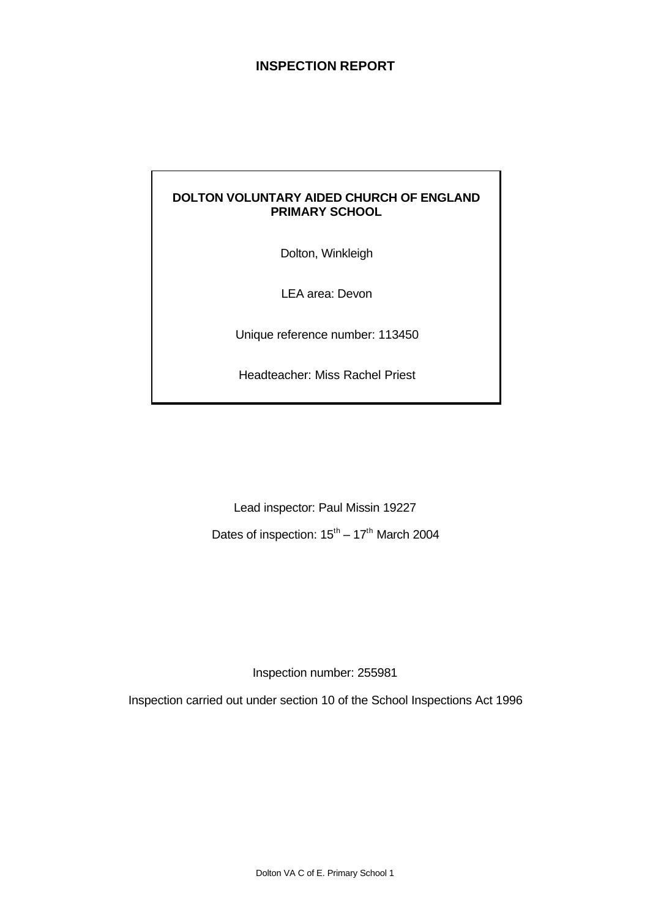# **INSPECTION REPORT**

#### **DOLTON VOLUNTARY AIDED CHURCH OF ENGLAND PRIMARY SCHOOL**

Dolton, Winkleigh

LEA area: Devon

Unique reference number: 113450

Headteacher: Miss Rachel Priest

Lead inspector: Paul Missin 19227

Dates of inspection:  $15^{\text{th}} - 17^{\text{th}}$  March 2004

Inspection number: 255981

Inspection carried out under section 10 of the School Inspections Act 1996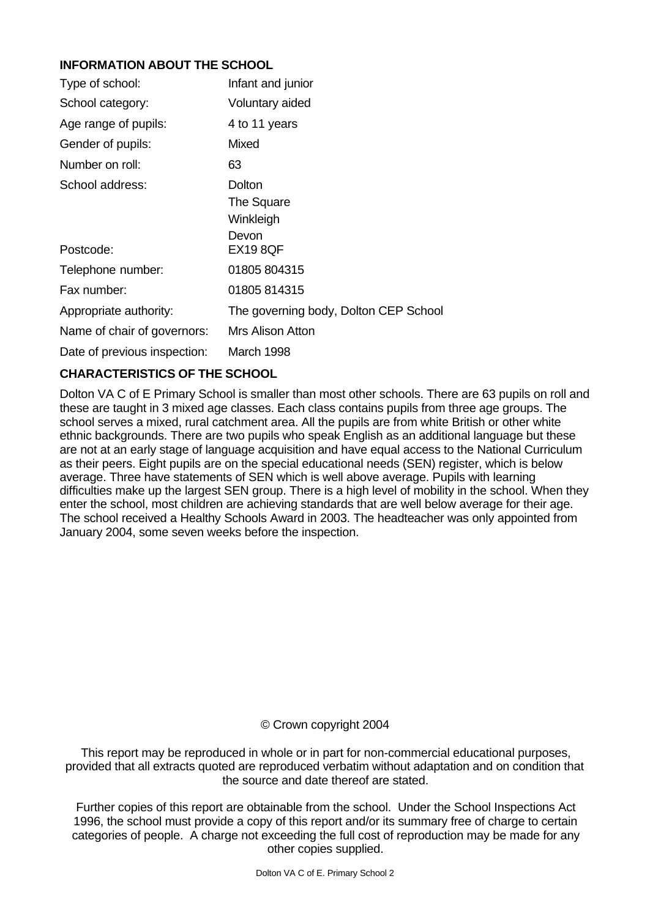# **INFORMATION ABOUT THE SCHOOL**

| Type of school:              | Infant and junior                                             |
|------------------------------|---------------------------------------------------------------|
| School category:             | Voluntary aided                                               |
| Age range of pupils:         | 4 to 11 years                                                 |
| Gender of pupils:            | Mixed                                                         |
| Number on roll:              | 63                                                            |
| School address:<br>Postcode: | Dolton<br>The Square<br>Winkleigh<br>Devon<br><b>EX19 8QF</b> |
| Telephone number:            | 01805 804315                                                  |
| Fax number:                  | 01805 814315                                                  |
| Appropriate authority:       | The governing body, Dolton CEP School                         |
| Name of chair of governors:  | Mrs Alison Atton                                              |
| Date of previous inspection: | March 1998                                                    |

# **CHARACTERISTICS OF THE SCHOOL**

Dolton VA C of E Primary School is smaller than most other schools. There are 63 pupils on roll and these are taught in 3 mixed age classes. Each class contains pupils from three age groups. The school serves a mixed, rural catchment area. All the pupils are from white British or other white ethnic backgrounds. There are two pupils who speak English as an additional language but these are not at an early stage of language acquisition and have equal access to the National Curriculum as their peers. Eight pupils are on the special educational needs (SEN) register, which is below average. Three have statements of SEN which is well above average. Pupils with learning difficulties make up the largest SEN group. There is a high level of mobility in the school. When they enter the school, most children are achieving standards that are well below average for their age. The school received a Healthy Schools Award in 2003. The headteacher was only appointed from January 2004, some seven weeks before the inspection.

# © Crown copyright 2004

This report may be reproduced in whole or in part for non-commercial educational purposes, provided that all extracts quoted are reproduced verbatim without adaptation and on condition that the source and date thereof are stated.

Further copies of this report are obtainable from the school. Under the School Inspections Act 1996, the school must provide a copy of this report and/or its summary free of charge to certain categories of people. A charge not exceeding the full cost of reproduction may be made for any other copies supplied.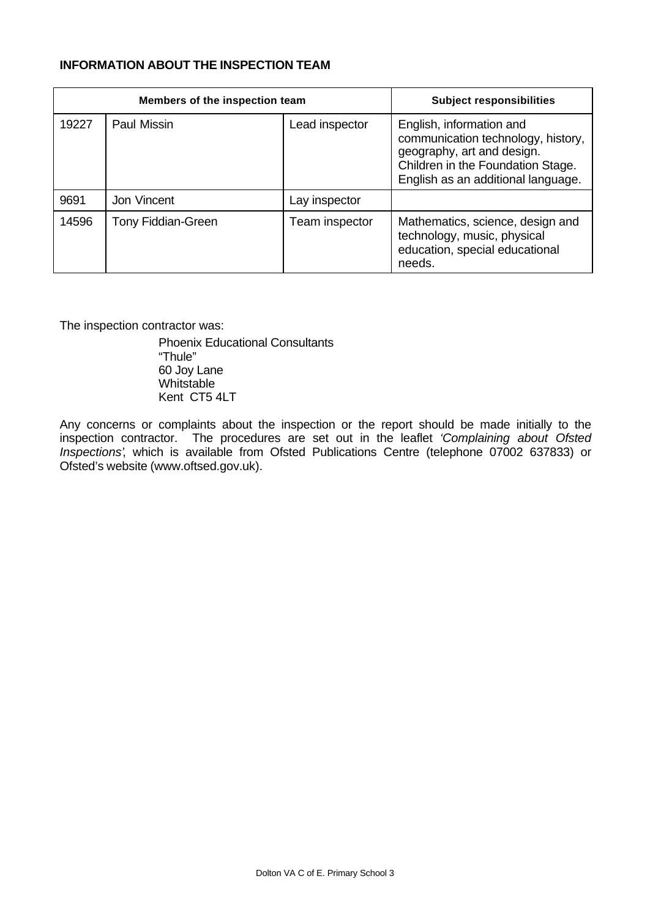#### **INFORMATION ABOUT THE INSPECTION TEAM**

|       | Members of the inspection team | <b>Subject responsibilities</b> |                                                                                                                                                                         |
|-------|--------------------------------|---------------------------------|-------------------------------------------------------------------------------------------------------------------------------------------------------------------------|
| 19227 | Paul Missin                    | Lead inspector                  | English, information and<br>communication technology, history,<br>geography, art and design.<br>Children in the Foundation Stage.<br>English as an additional language. |
| 9691  | Jon Vincent                    | Lay inspector                   |                                                                                                                                                                         |
| 14596 | Tony Fiddian-Green             | Team inspector                  | Mathematics, science, design and<br>technology, music, physical<br>education, special educational<br>needs.                                                             |

The inspection contractor was:

Phoenix Educational Consultants "Thule" 60 Joy Lane **Whitstable** Kent CT5 4LT

Any concerns or complaints about the inspection or the report should be made initially to the inspection contractor. The procedures are set out in the leaflet *'Complaining about Ofsted Inspections'*, which is available from Ofsted Publications Centre (telephone 07002 637833) or Ofsted's website (www.oftsed.gov.uk).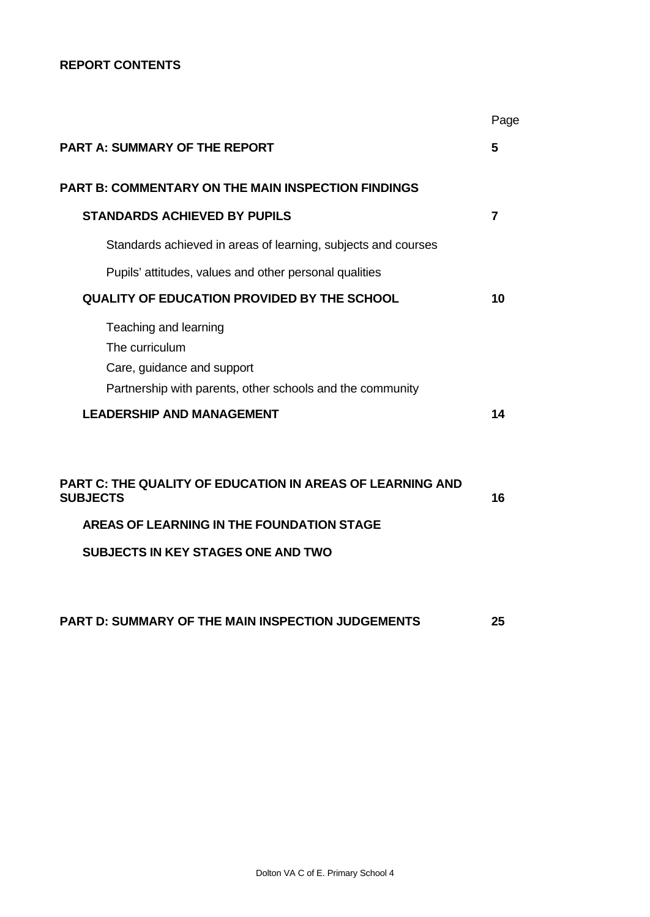### **REPORT CONTENTS**

|                                                                                                                                    | Page           |
|------------------------------------------------------------------------------------------------------------------------------------|----------------|
| <b>PART A: SUMMARY OF THE REPORT</b>                                                                                               | 5              |
| <b>PART B: COMMENTARY ON THE MAIN INSPECTION FINDINGS</b>                                                                          |                |
| <b>STANDARDS ACHIEVED BY PUPILS</b>                                                                                                | $\overline{7}$ |
| Standards achieved in areas of learning, subjects and courses                                                                      |                |
| Pupils' attitudes, values and other personal qualities                                                                             |                |
| <b>QUALITY OF EDUCATION PROVIDED BY THE SCHOOL</b>                                                                                 | 10             |
| Teaching and learning<br>The curriculum<br>Care, guidance and support<br>Partnership with parents, other schools and the community |                |
| <b>LEADERSHIP AND MANAGEMENT</b>                                                                                                   | 14             |
| <b>PART C: THE QUALITY OF EDUCATION IN AREAS OF LEARNING AND</b><br><b>SUBJECTS</b>                                                | 16             |
| <b>AREAS OF LEARNING IN THE FOUNDATION STAGE</b>                                                                                   |                |
| <b>SUBJECTS IN KEY STAGES ONE AND TWO</b>                                                                                          |                |
| PART D: SUMMARY OF THE MAIN INSPECTION JUDGEMENTS                                                                                  | 25             |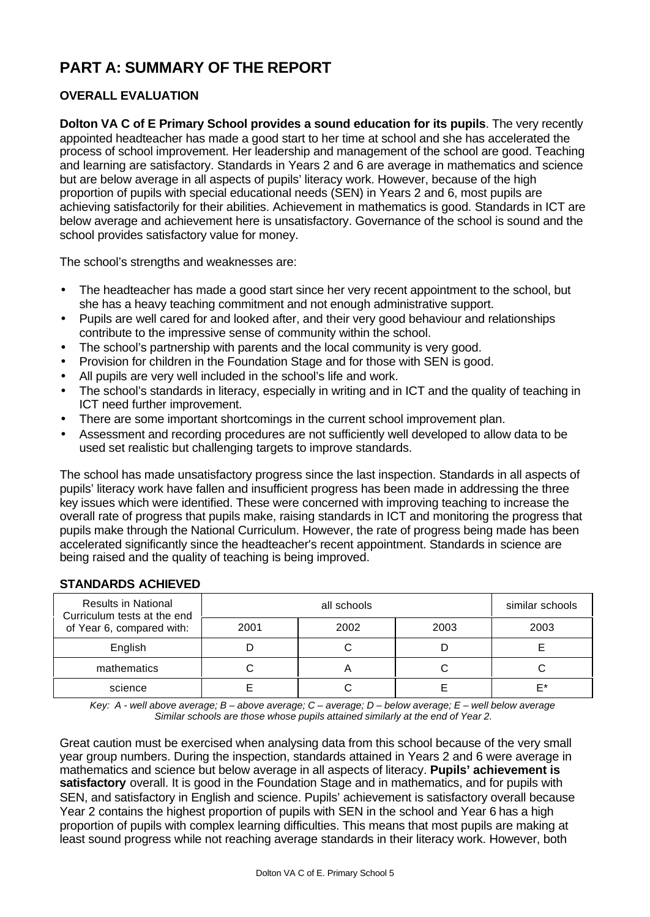# **PART A: SUMMARY OF THE REPORT**

# **OVERALL EVALUATION**

**Dolton VA C of E Primary School provides a sound education for its pupils**. The very recently appointed headteacher has made a good start to her time at school and she has accelerated the process of school improvement. Her leadership and management of the school are good. Teaching and learning are satisfactory. Standards in Years 2 and 6 are average in mathematics and science but are below average in all aspects of pupils' literacy work. However, because of the high proportion of pupils with special educational needs (SEN) in Years 2 and 6, most pupils are achieving satisfactorily for their abilities. Achievement in mathematics is good. Standards in ICT are below average and achievement here is unsatisfactory. Governance of the school is sound and the school provides satisfactory value for money.

The school's strengths and weaknesses are:

- The headteacher has made a good start since her very recent appointment to the school, but she has a heavy teaching commitment and not enough administrative support.
- Pupils are well cared for and looked after, and their very good behaviour and relationships contribute to the impressive sense of community within the school.
- The school's partnership with parents and the local community is very good.
- Provision for children in the Foundation Stage and for those with SEN is good.
- All pupils are very well included in the school's life and work.
- The school's standards in literacy, especially in writing and in ICT and the quality of teaching in ICT need further improvement.
- There are some important shortcomings in the current school improvement plan.
- Assessment and recording procedures are not sufficiently well developed to allow data to be used set realistic but challenging targets to improve standards.

The school has made unsatisfactory progress since the last inspection. Standards in all aspects of pupils' literacy work have fallen and insufficient progress has been made in addressing the three key issues which were identified. These were concerned with improving teaching to increase the overall rate of progress that pupils make, raising standards in ICT and monitoring the progress that pupils make through the National Curriculum. However, the rate of progress being made has been accelerated significantly since the headteacher's recent appointment. Standards in science are being raised and the quality of teaching is being improved.

| <b>Results in National</b><br>Curriculum tests at the end |      | similar schools |      |      |
|-----------------------------------------------------------|------|-----------------|------|------|
| of Year 6, compared with:                                 | 2001 | 2002            | 2003 | 2003 |
| English                                                   |      |                 |      |      |
| mathematics                                               |      |                 |      |      |
| science                                                   |      |                 |      | F*   |

#### **STANDARDS ACHIEVED**

*Key: A - well above average; B – above average; C – average; D – below average; E – well below average Similar schools are those whose pupils attained similarly at the end of Year 2.*

Great caution must be exercised when analysing data from this school because of the very small year group numbers. During the inspection, standards attained in Years 2 and 6 were average in mathematics and science but below average in all aspects of literacy. **Pupils' achievement is satisfactory** overall. It is good in the Foundation Stage and in mathematics, and for pupils with SEN, and satisfactory in English and science. Pupils' achievement is satisfactory overall because Year 2 contains the highest proportion of pupils with SEN in the school and Year 6 has a high proportion of pupils with complex learning difficulties. This means that most pupils are making at least sound progress while not reaching average standards in their literacy work. However, both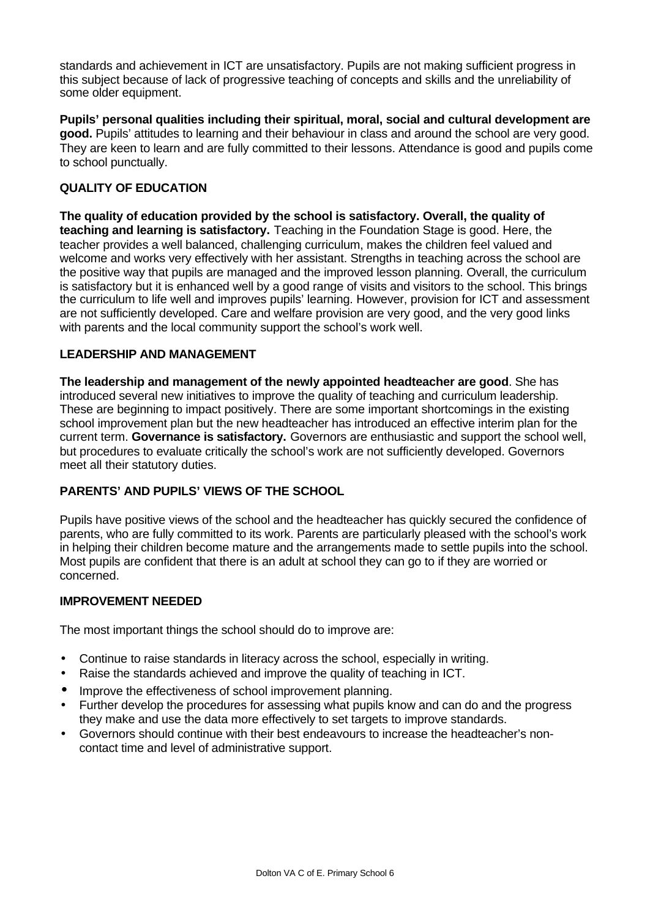standards and achievement in ICT are unsatisfactory. Pupils are not making sufficient progress in this subject because of lack of progressive teaching of concepts and skills and the unreliability of some older equipment.

**Pupils' personal qualities including their spiritual, moral, social and cultural development are good.** Pupils' attitudes to learning and their behaviour in class and around the school are very good. They are keen to learn and are fully committed to their lessons. Attendance is good and pupils come to school punctually.

### **QUALITY OF EDUCATION**

**The quality of education provided by the school is satisfactory. Overall, the quality of teaching and learning is satisfactory.** Teaching in the Foundation Stage is good. Here, the teacher provides a well balanced, challenging curriculum, makes the children feel valued and welcome and works very effectively with her assistant. Strengths in teaching across the school are the positive way that pupils are managed and the improved lesson planning. Overall, the curriculum is satisfactory but it is enhanced well by a good range of visits and visitors to the school. This brings the curriculum to life well and improves pupils' learning. However, provision for ICT and assessment are not sufficiently developed. Care and welfare provision are very good, and the very good links with parents and the local community support the school's work well.

#### **LEADERSHIP AND MANAGEMENT**

**The leadership and management of the newly appointed headteacher are good**. She has introduced several new initiatives to improve the quality of teaching and curriculum leadership. These are beginning to impact positively. There are some important shortcomings in the existing school improvement plan but the new headteacher has introduced an effective interim plan for the current term. **Governance is satisfactory.** Governors are enthusiastic and support the school well, but procedures to evaluate critically the school's work are not sufficiently developed. Governors meet all their statutory duties.

#### **PARENTS' AND PUPILS' VIEWS OF THE SCHOOL**

Pupils have positive views of the school and the headteacher has quickly secured the confidence of parents, who are fully committed to its work. Parents are particularly pleased with the school's work in helping their children become mature and the arrangements made to settle pupils into the school. Most pupils are confident that there is an adult at school they can go to if they are worried or concerned.

#### **IMPROVEMENT NEEDED**

The most important things the school should do to improve are:

- Continue to raise standards in literacy across the school, especially in writing.
- Raise the standards achieved and improve the quality of teaching in ICT.
- Improve the effectiveness of school improvement planning.
- Further develop the procedures for assessing what pupils know and can do and the progress they make and use the data more effectively to set targets to improve standards.
- Governors should continue with their best endeavours to increase the headteacher's noncontact time and level of administrative support.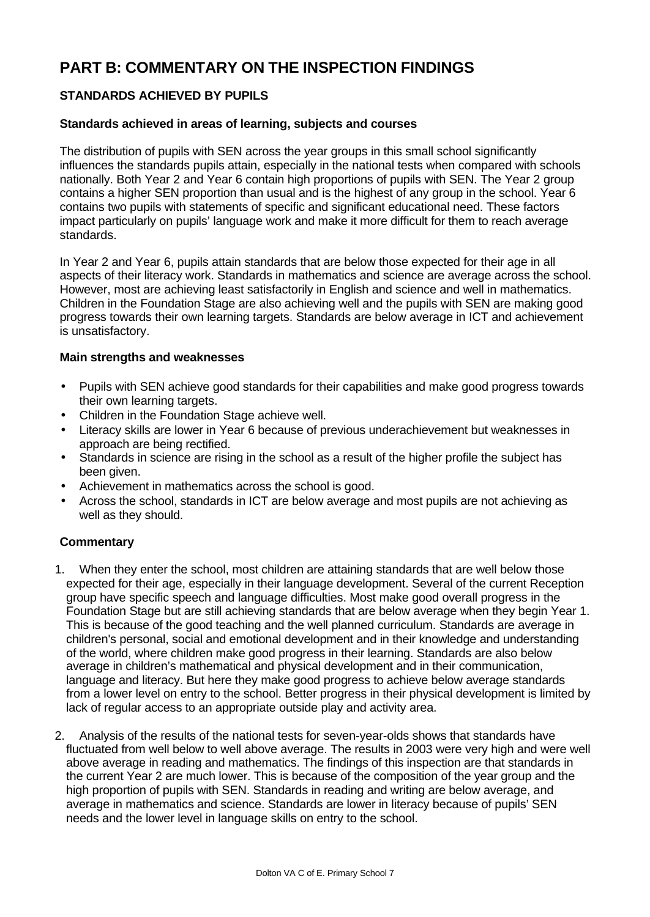# **PART B: COMMENTARY ON THE INSPECTION FINDINGS**

# **STANDARDS ACHIEVED BY PUPILS**

#### **Standards achieved in areas of learning, subjects and courses**

The distribution of pupils with SEN across the year groups in this small school significantly influences the standards pupils attain, especially in the national tests when compared with schools nationally. Both Year 2 and Year 6 contain high proportions of pupils with SEN. The Year 2 group contains a higher SEN proportion than usual and is the highest of any group in the school. Year 6 contains two pupils with statements of specific and significant educational need. These factors impact particularly on pupils' language work and make it more difficult for them to reach average standards.

In Year 2 and Year 6, pupils attain standards that are below those expected for their age in all aspects of their literacy work. Standards in mathematics and science are average across the school. However, most are achieving least satisfactorily in English and science and well in mathematics. Children in the Foundation Stage are also achieving well and the pupils with SEN are making good progress towards their own learning targets. Standards are below average in ICT and achievement is unsatisfactory.

#### **Main strengths and weaknesses**

- Pupils with SEN achieve good standards for their capabilities and make good progress towards their own learning targets.
- Children in the Foundation Stage achieve well.
- Literacy skills are lower in Year 6 because of previous underachievement but weaknesses in approach are being rectified.
- Standards in science are rising in the school as a result of the higher profile the subject has been given.
- Achievement in mathematics across the school is good.
- Across the school, standards in ICT are below average and most pupils are not achieving as well as they should.

- 1. When they enter the school, most children are attaining standards that are well below those expected for their age, especially in their language development. Several of the current Reception group have specific speech and language difficulties. Most make good overall progress in the Foundation Stage but are still achieving standards that are below average when they begin Year 1. This is because of the good teaching and the well planned curriculum. Standards are average in children's personal, social and emotional development and in their knowledge and understanding of the world, where children make good progress in their learning. Standards are also below average in children's mathematical and physical development and in their communication, language and literacy. But here they make good progress to achieve below average standards from a lower level on entry to the school. Better progress in their physical development is limited by lack of regular access to an appropriate outside play and activity area.
- 2. Analysis of the results of the national tests for seven-year-olds shows that standards have fluctuated from well below to well above average. The results in 2003 were very high and were well above average in reading and mathematics. The findings of this inspection are that standards in the current Year 2 are much lower. This is because of the composition of the year group and the high proportion of pupils with SEN. Standards in reading and writing are below average, and average in mathematics and science. Standards are lower in literacy because of pupils' SEN needs and the lower level in language skills on entry to the school.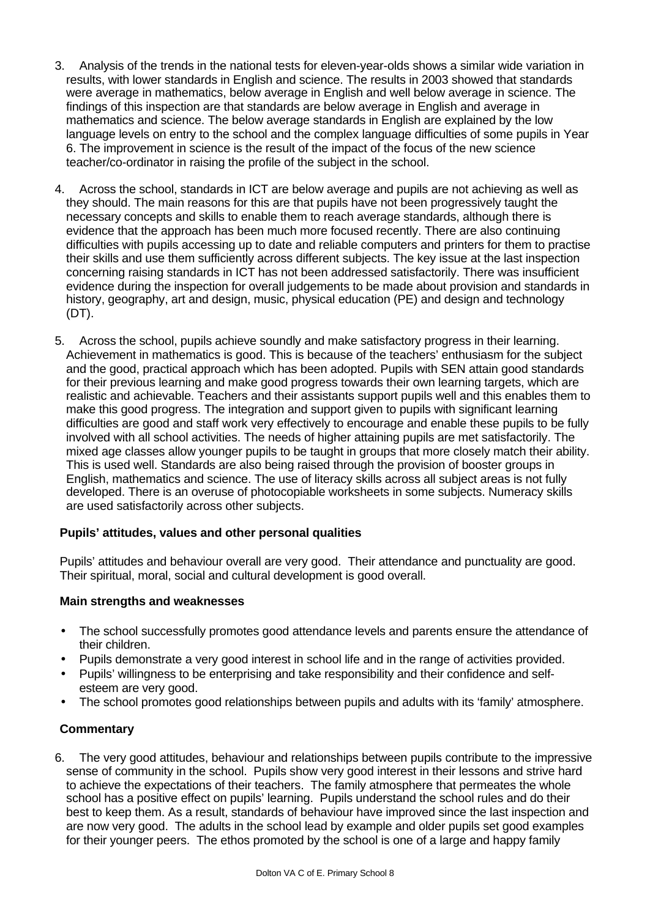- 3. Analysis of the trends in the national tests for eleven-year-olds shows a similar wide variation in results, with lower standards in English and science. The results in 2003 showed that standards were average in mathematics, below average in English and well below average in science. The findings of this inspection are that standards are below average in English and average in mathematics and science. The below average standards in English are explained by the low language levels on entry to the school and the complex language difficulties of some pupils in Year 6. The improvement in science is the result of the impact of the focus of the new science teacher/co-ordinator in raising the profile of the subject in the school.
- 4. Across the school, standards in ICT are below average and pupils are not achieving as well as they should. The main reasons for this are that pupils have not been progressively taught the necessary concepts and skills to enable them to reach average standards, although there is evidence that the approach has been much more focused recently. There are also continuing difficulties with pupils accessing up to date and reliable computers and printers for them to practise their skills and use them sufficiently across different subjects. The key issue at the last inspection concerning raising standards in ICT has not been addressed satisfactorily. There was insufficient evidence during the inspection for overall judgements to be made about provision and standards in history, geography, art and design, music, physical education (PE) and design and technology (DT).
- 5. Across the school, pupils achieve soundly and make satisfactory progress in their learning. Achievement in mathematics is good. This is because of the teachers' enthusiasm for the subject and the good, practical approach which has been adopted. Pupils with SEN attain good standards for their previous learning and make good progress towards their own learning targets, which are realistic and achievable. Teachers and their assistants support pupils well and this enables them to make this good progress. The integration and support given to pupils with significant learning difficulties are good and staff work very effectively to encourage and enable these pupils to be fully involved with all school activities. The needs of higher attaining pupils are met satisfactorily. The mixed age classes allow younger pupils to be taught in groups that more closely match their ability. This is used well. Standards are also being raised through the provision of booster groups in English, mathematics and science. The use of literacy skills across all subject areas is not fully developed. There is an overuse of photocopiable worksheets in some subjects. Numeracy skills are used satisfactorily across other subjects.

# **Pupils' attitudes, values and other personal qualities**

Pupils' attitudes and behaviour overall are very good. Their attendance and punctuality are good. Their spiritual, moral, social and cultural development is good overall.

#### **Main strengths and weaknesses**

- The school successfully promotes good attendance levels and parents ensure the attendance of their children.
- Pupils demonstrate a very good interest in school life and in the range of activities provided.
- Pupils' willingness to be enterprising and take responsibility and their confidence and selfesteem are very good.
- The school promotes good relationships between pupils and adults with its 'family' atmosphere.

#### **Commentary**

6. The very good attitudes, behaviour and relationships between pupils contribute to the impressive sense of community in the school. Pupils show very good interest in their lessons and strive hard to achieve the expectations of their teachers. The family atmosphere that permeates the whole school has a positive effect on pupils' learning. Pupils understand the school rules and do their best to keep them. As a result, standards of behaviour have improved since the last inspection and are now very good. The adults in the school lead by example and older pupils set good examples for their younger peers. The ethos promoted by the school is one of a large and happy family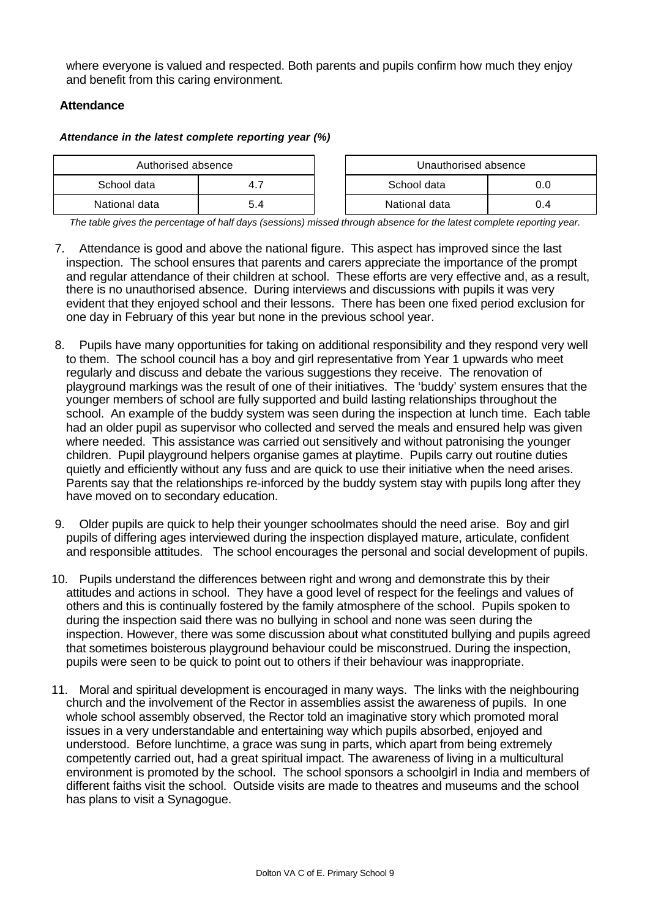where everyone is valued and respected. Both parents and pupils confirm how much they enjoy and benefit from this caring environment.

### **Attendance**

#### *Attendance in the latest complete reporting year (%)*

|               | Authorised absence<br>Unauthorised absence |  |               |    |
|---------------|--------------------------------------------|--|---------------|----|
| School data   |                                            |  | School data   |    |
| National data | 5.4                                        |  | National data | -4 |

*The table gives the percentage of half days (sessions) missed through absence for the latest complete reporting year.*

- 7. Attendance is good and above the national figure. This aspect has improved since the last inspection. The school ensures that parents and carers appreciate the importance of the prompt and regular attendance of their children at school. These efforts are very effective and, as a result, there is no unauthorised absence. During interviews and discussions with pupils it was very evident that they enjoyed school and their lessons. There has been one fixed period exclusion for one day in February of this year but none in the previous school year.
- 8. Pupils have many opportunities for taking on additional responsibility and they respond very well to them. The school council has a boy and girl representative from Year 1 upwards who meet regularly and discuss and debate the various suggestions they receive. The renovation of playground markings was the result of one of their initiatives. The 'buddy' system ensures that the younger members of school are fully supported and build lasting relationships throughout the school. An example of the buddy system was seen during the inspection at lunch time. Each table had an older pupil as supervisor who collected and served the meals and ensured help was given where needed. This assistance was carried out sensitively and without patronising the younger children. Pupil playground helpers organise games at playtime. Pupils carry out routine duties quietly and efficiently without any fuss and are quick to use their initiative when the need arises. Parents say that the relationships re-inforced by the buddy system stay with pupils long after they have moved on to secondary education.
- 9. Older pupils are quick to help their younger schoolmates should the need arise. Boy and girl pupils of differing ages interviewed during the inspection displayed mature, articulate, confident and responsible attitudes. The school encourages the personal and social development of pupils.
- 10. Pupils understand the differences between right and wrong and demonstrate this by their attitudes and actions in school. They have a good level of respect for the feelings and values of others and this is continually fostered by the family atmosphere of the school. Pupils spoken to during the inspection said there was no bullying in school and none was seen during the inspection. However, there was some discussion about what constituted bullying and pupils agreed that sometimes boisterous playground behaviour could be misconstrued. During the inspection, pupils were seen to be quick to point out to others if their behaviour was inappropriate.
- 11. Moral and spiritual development is encouraged in many ways. The links with the neighbouring church and the involvement of the Rector in assemblies assist the awareness of pupils. In one whole school assembly observed, the Rector told an imaginative story which promoted moral issues in a very understandable and entertaining way which pupils absorbed, enjoyed and understood. Before lunchtime, a grace was sung in parts, which apart from being extremely competently carried out, had a great spiritual impact. The awareness of living in a multicultural environment is promoted by the school. The school sponsors a schoolgirl in India and members of different faiths visit the school. Outside visits are made to theatres and museums and the school has plans to visit a Synagogue.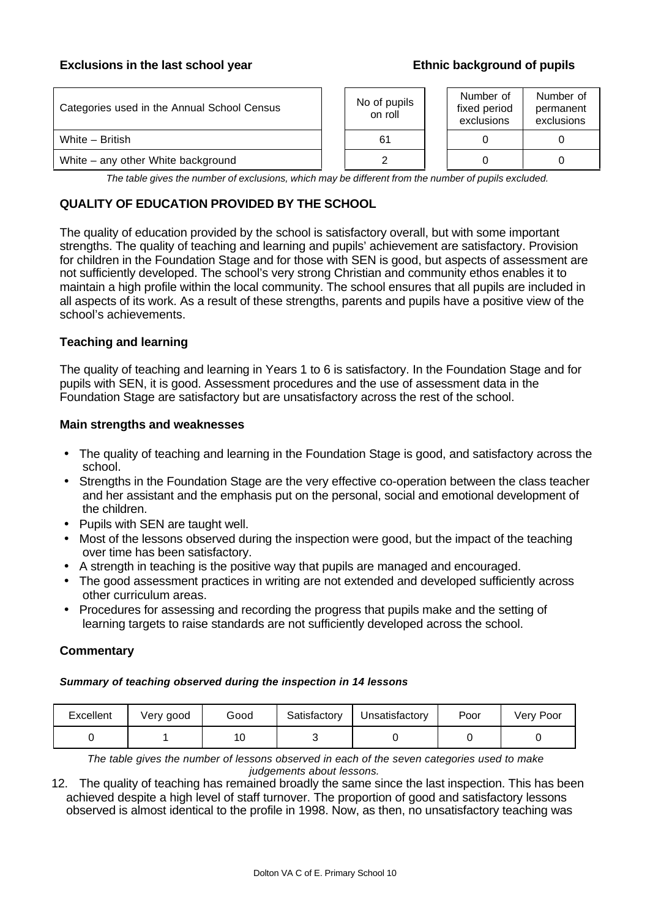#### **Exclusions in the last school year example 3 and Ethnic background of pupils**

| Categories used in the Annual School Census | No of pupils<br>on roll | Number of<br>fixed period<br>exclusions | Number of<br>permanent<br>exclusions |
|---------------------------------------------|-------------------------|-----------------------------------------|--------------------------------------|
| White - British                             | 61                      |                                         |                                      |
| White – any other White background          |                         |                                         |                                      |

*The table gives the number of exclusions, which may be different from the number of pupils excluded.*

## **QUALITY OF EDUCATION PROVIDED BY THE SCHOOL**

The quality of education provided by the school is satisfactory overall, but with some important strengths. The quality of teaching and learning and pupils' achievement are satisfactory. Provision for children in the Foundation Stage and for those with SEN is good, but aspects of assessment are not sufficiently developed. The school's very strong Christian and community ethos enables it to maintain a high profile within the local community. The school ensures that all pupils are included in all aspects of its work. As a result of these strengths, parents and pupils have a positive view of the school's achievements.

#### **Teaching and learning**

The quality of teaching and learning in Years 1 to 6 is satisfactory. In the Foundation Stage and for pupils with SEN, it is good. Assessment procedures and the use of assessment data in the Foundation Stage are satisfactory but are unsatisfactory across the rest of the school.

#### **Main strengths and weaknesses**

- The quality of teaching and learning in the Foundation Stage is good, and satisfactory across the school.
- Strengths in the Foundation Stage are the very effective co-operation between the class teacher and her assistant and the emphasis put on the personal, social and emotional development of the children.
- Pupils with SEN are taught well.
- Most of the lessons observed during the inspection were good, but the impact of the teaching over time has been satisfactory.
- A strength in teaching is the positive way that pupils are managed and encouraged.
- The good assessment practices in writing are not extended and developed sufficiently across other curriculum areas.
- Procedures for assessing and recording the progress that pupils make and the setting of learning targets to raise standards are not sufficiently developed across the school.

#### **Commentary**

#### *Summary of teaching observed during the inspection in 14 lessons*

| Excellent | Very good | Good | Satisfactory | Unsatisfactory | Poor | Verv Poor |
|-----------|-----------|------|--------------|----------------|------|-----------|
|           |           |      |              |                |      |           |

*The table gives the number of lessons observed in each of the seven categories used to make judgements about lessons.*

12. The quality of teaching has remained broadly the same since the last inspection. This has been achieved despite a high level of staff turnover. The proportion of good and satisfactory lessons observed is almost identical to the profile in 1998. Now, as then, no unsatisfactory teaching was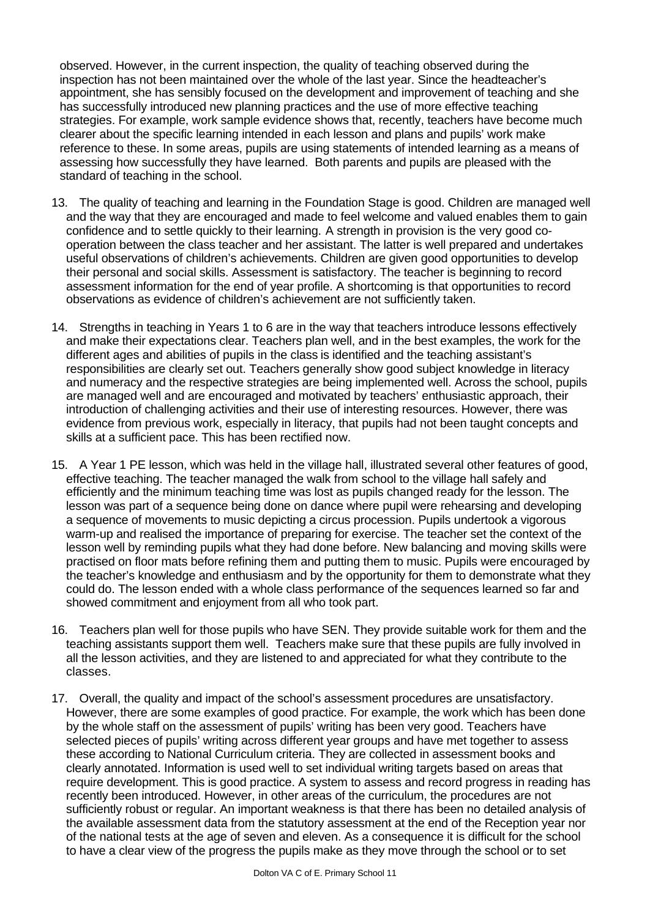observed. However, in the current inspection, the quality of teaching observed during the inspection has not been maintained over the whole of the last year. Since the headteacher's appointment, she has sensibly focused on the development and improvement of teaching and she has successfully introduced new planning practices and the use of more effective teaching strategies. For example, work sample evidence shows that, recently, teachers have become much clearer about the specific learning intended in each lesson and plans and pupils' work make reference to these. In some areas, pupils are using statements of intended learning as a means of assessing how successfully they have learned. Both parents and pupils are pleased with the standard of teaching in the school.

- 13. The quality of teaching and learning in the Foundation Stage is good. Children are managed well and the way that they are encouraged and made to feel welcome and valued enables them to gain confidence and to settle quickly to their learning. A strength in provision is the very good cooperation between the class teacher and her assistant. The latter is well prepared and undertakes useful observations of children's achievements. Children are given good opportunities to develop their personal and social skills. Assessment is satisfactory. The teacher is beginning to record assessment information for the end of year profile. A shortcoming is that opportunities to record observations as evidence of children's achievement are not sufficiently taken.
- 14. Strengths in teaching in Years 1 to 6 are in the way that teachers introduce lessons effectively and make their expectations clear. Teachers plan well, and in the best examples, the work for the different ages and abilities of pupils in the class is identified and the teaching assistant's responsibilities are clearly set out. Teachers generally show good subject knowledge in literacy and numeracy and the respective strategies are being implemented well. Across the school, pupils are managed well and are encouraged and motivated by teachers' enthusiastic approach, their introduction of challenging activities and their use of interesting resources. However, there was evidence from previous work, especially in literacy, that pupils had not been taught concepts and skills at a sufficient pace. This has been rectified now.
- 15. A Year 1 PE lesson, which was held in the village hall, illustrated several other features of good, effective teaching. The teacher managed the walk from school to the village hall safely and efficiently and the minimum teaching time was lost as pupils changed ready for the lesson. The lesson was part of a sequence being done on dance where pupil were rehearsing and developing a sequence of movements to music depicting a circus procession. Pupils undertook a vigorous warm-up and realised the importance of preparing for exercise. The teacher set the context of the lesson well by reminding pupils what they had done before. New balancing and moving skills were practised on floor mats before refining them and putting them to music. Pupils were encouraged by the teacher's knowledge and enthusiasm and by the opportunity for them to demonstrate what they could do. The lesson ended with a whole class performance of the sequences learned so far and showed commitment and enjoyment from all who took part.
- 16. Teachers plan well for those pupils who have SEN. They provide suitable work for them and the teaching assistants support them well. Teachers make sure that these pupils are fully involved in all the lesson activities, and they are listened to and appreciated for what they contribute to the classes.
- 17. Overall, the quality and impact of the school's assessment procedures are unsatisfactory. However, there are some examples of good practice. For example, the work which has been done by the whole staff on the assessment of pupils' writing has been very good. Teachers have selected pieces of pupils' writing across different year groups and have met together to assess these according to National Curriculum criteria. They are collected in assessment books and clearly annotated. Information is used well to set individual writing targets based on areas that require development. This is good practice. A system to assess and record progress in reading has recently been introduced. However, in other areas of the curriculum, the procedures are not sufficiently robust or regular. An important weakness is that there has been no detailed analysis of the available assessment data from the statutory assessment at the end of the Reception year nor of the national tests at the age of seven and eleven. As a consequence it is difficult for the school to have a clear view of the progress the pupils make as they move through the school or to set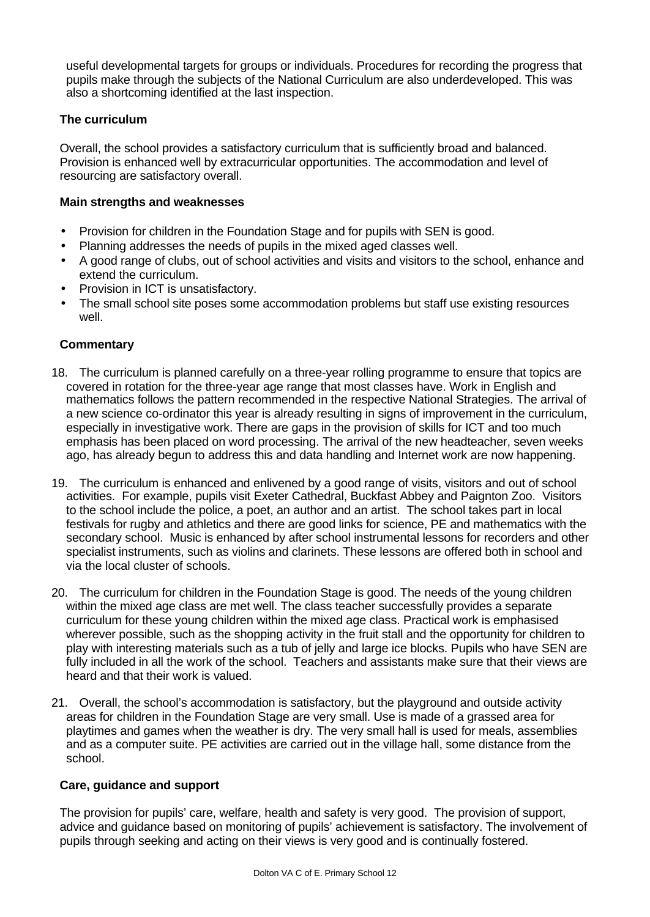useful developmental targets for groups or individuals. Procedures for recording the progress that pupils make through the subjects of the National Curriculum are also underdeveloped. This was also a shortcoming identified at the last inspection.

### **The curriculum**

Overall, the school provides a satisfactory curriculum that is sufficiently broad and balanced. Provision is enhanced well by extracurricular opportunities. The accommodation and level of resourcing are satisfactory overall.

#### **Main strengths and weaknesses**

- Provision for children in the Foundation Stage and for pupils with SEN is good.
- Planning addresses the needs of pupils in the mixed aged classes well.
- A good range of clubs, out of school activities and visits and visitors to the school, enhance and extend the curriculum.
- Provision in ICT is unsatisfactory.
- The small school site poses some accommodation problems but staff use existing resources well.

#### **Commentary**

- 18. The curriculum is planned carefully on a three-year rolling programme to ensure that topics are covered in rotation for the three-year age range that most classes have. Work in English and mathematics follows the pattern recommended in the respective National Strategies. The arrival of a new science co-ordinator this year is already resulting in signs of improvement in the curriculum, especially in investigative work. There are gaps in the provision of skills for ICT and too much emphasis has been placed on word processing. The arrival of the new headteacher, seven weeks ago, has already begun to address this and data handling and Internet work are now happening.
- 19. The curriculum is enhanced and enlivened by a good range of visits, visitors and out of school activities. For example, pupils visit Exeter Cathedral, Buckfast Abbey and Paignton Zoo. Visitors to the school include the police, a poet, an author and an artist. The school takes part in local festivals for rugby and athletics and there are good links for science, PE and mathematics with the secondary school. Music is enhanced by after school instrumental lessons for recorders and other specialist instruments, such as violins and clarinets. These lessons are offered both in school and via the local cluster of schools.
- 20. The curriculum for children in the Foundation Stage is good. The needs of the young children within the mixed age class are met well. The class teacher successfully provides a separate curriculum for these young children within the mixed age class. Practical work is emphasised wherever possible, such as the shopping activity in the fruit stall and the opportunity for children to play with interesting materials such as a tub of jelly and large ice blocks. Pupils who have SEN are fully included in all the work of the school. Teachers and assistants make sure that their views are heard and that their work is valued.
- 21. Overall, the school's accommodation is satisfactory, but the playground and outside activity areas for children in the Foundation Stage are very small. Use is made of a grassed area for playtimes and games when the weather is dry. The very small hall is used for meals, assemblies and as a computer suite. PE activities are carried out in the village hall, some distance from the school.

#### **Care, guidance and support**

The provision for pupils' care, welfare, health and safety is very good. The provision of support, advice and guidance based on monitoring of pupils' achievement is satisfactory. The involvement of pupils through seeking and acting on their views is very good and is continually fostered.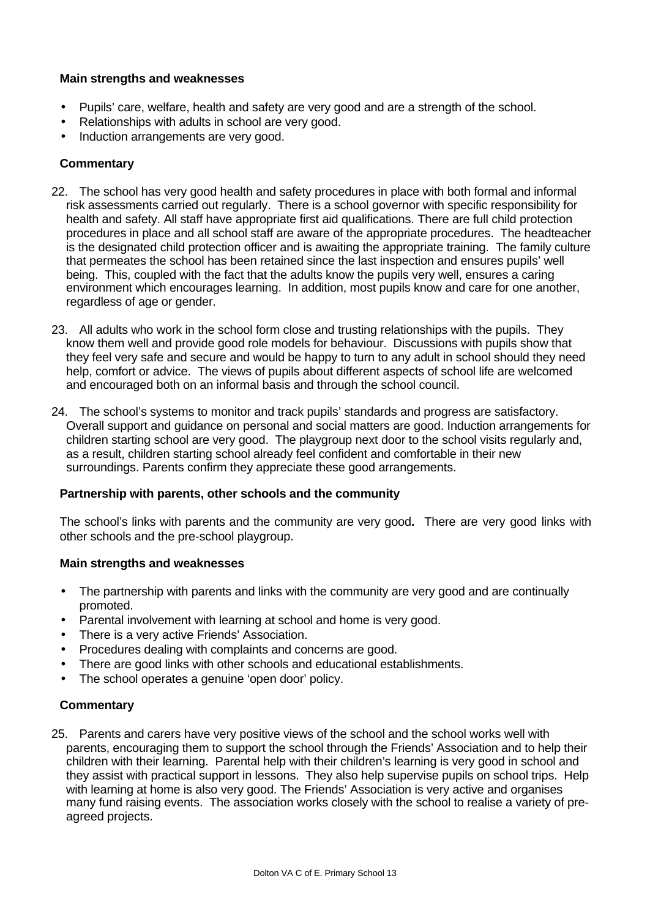### **Main strengths and weaknesses**

- Pupils' care, welfare, health and safety are very good and are a strength of the school.
- Relationships with adults in school are very good.
- Induction arrangements are very good.

## **Commentary**

- 22. The school has very good health and safety procedures in place with both formal and informal risk assessments carried out regularly. There is a school governor with specific responsibility for health and safety. All staff have appropriate first aid qualifications. There are full child protection procedures in place and all school staff are aware of the appropriate procedures. The headteacher is the designated child protection officer and is awaiting the appropriate training. The family culture that permeates the school has been retained since the last inspection and ensures pupils' well being. This, coupled with the fact that the adults know the pupils very well, ensures a caring environment which encourages learning. In addition, most pupils know and care for one another, regardless of age or gender.
- 23. All adults who work in the school form close and trusting relationships with the pupils. They know them well and provide good role models for behaviour. Discussions with pupils show that they feel very safe and secure and would be happy to turn to any adult in school should they need help, comfort or advice. The views of pupils about different aspects of school life are welcomed and encouraged both on an informal basis and through the school council.
- 24. The school's systems to monitor and track pupils' standards and progress are satisfactory. Overall support and guidance on personal and social matters are good. Induction arrangements for children starting school are very good. The playgroup next door to the school visits regularly and, as a result, children starting school already feel confident and comfortable in their new surroundings. Parents confirm they appreciate these good arrangements.

#### **Partnership with parents, other schools and the community**

The school's links with parents and the community are very good**.** There are very good links with other schools and the pre-school playgroup.

#### **Main strengths and weaknesses**

- The partnership with parents and links with the community are very good and are continually promoted.
- Parental involvement with learning at school and home is very good.
- There is a very active Friends' Association.
- Procedures dealing with complaints and concerns are good.
- There are good links with other schools and educational establishments.
- The school operates a genuine 'open door' policy.

#### **Commentary**

25. Parents and carers have very positive views of the school and the school works well with parents, encouraging them to support the school through the Friends' Association and to help their children with their learning. Parental help with their children's learning is very good in school and they assist with practical support in lessons. They also help supervise pupils on school trips. Help with learning at home is also very good. The Friends' Association is very active and organises many fund raising events. The association works closely with the school to realise a variety of preagreed projects.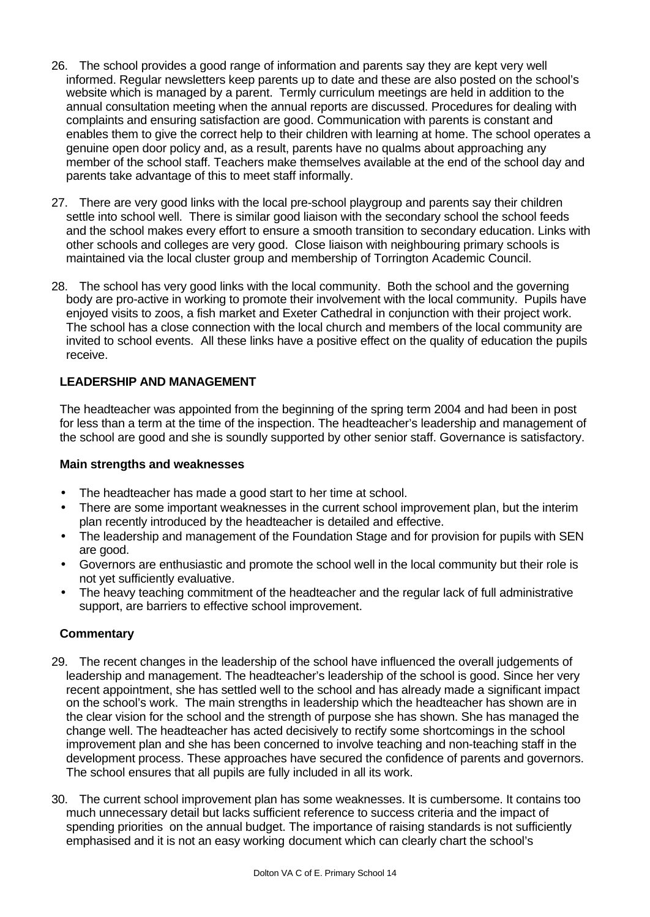- 26. The school provides a good range of information and parents say they are kept very well informed. Regular newsletters keep parents up to date and these are also posted on the school's website which is managed by a parent. Termly curriculum meetings are held in addition to the annual consultation meeting when the annual reports are discussed. Procedures for dealing with complaints and ensuring satisfaction are good. Communication with parents is constant and enables them to give the correct help to their children with learning at home. The school operates a genuine open door policy and, as a result, parents have no qualms about approaching any member of the school staff. Teachers make themselves available at the end of the school day and parents take advantage of this to meet staff informally.
- 27. There are very good links with the local pre-school playgroup and parents say their children settle into school well. There is similar good liaison with the secondary school the school feeds and the school makes every effort to ensure a smooth transition to secondary education. Links with other schools and colleges are very good. Close liaison with neighbouring primary schools is maintained via the local cluster group and membership of Torrington Academic Council.
- 28. The school has very good links with the local community. Both the school and the governing body are pro-active in working to promote their involvement with the local community. Pupils have enjoyed visits to zoos, a fish market and Exeter Cathedral in conjunction with their project work. The school has a close connection with the local church and members of the local community are invited to school events. All these links have a positive effect on the quality of education the pupils receive.

# **LEADERSHIP AND MANAGEMENT**

The headteacher was appointed from the beginning of the spring term 2004 and had been in post for less than a term at the time of the inspection. The headteacher's leadership and management of the school are good and she is soundly supported by other senior staff. Governance is satisfactory.

#### **Main strengths and weaknesses**

- The headteacher has made a good start to her time at school.
- There are some important weaknesses in the current school improvement plan, but the interim plan recently introduced by the headteacher is detailed and effective.
- The leadership and management of the Foundation Stage and for provision for pupils with SEN are good.
- Governors are enthusiastic and promote the school well in the local community but their role is not yet sufficiently evaluative.
- The heavy teaching commitment of the headteacher and the regular lack of full administrative support, are barriers to effective school improvement.

- 29. The recent changes in the leadership of the school have influenced the overall judgements of leadership and management. The headteacher's leadership of the school is good. Since her very recent appointment, she has settled well to the school and has already made a significant impact on the school's work. The main strengths in leadership which the headteacher has shown are in the clear vision for the school and the strength of purpose she has shown. She has managed the change well. The headteacher has acted decisively to rectify some shortcomings in the school improvement plan and she has been concerned to involve teaching and non-teaching staff in the development process. These approaches have secured the confidence of parents and governors. The school ensures that all pupils are fully included in all its work.
- 30. The current school improvement plan has some weaknesses. It is cumbersome. It contains too much unnecessary detail but lacks sufficient reference to success criteria and the impact of spending priorities on the annual budget. The importance of raising standards is not sufficiently emphasised and it is not an easy working document which can clearly chart the school's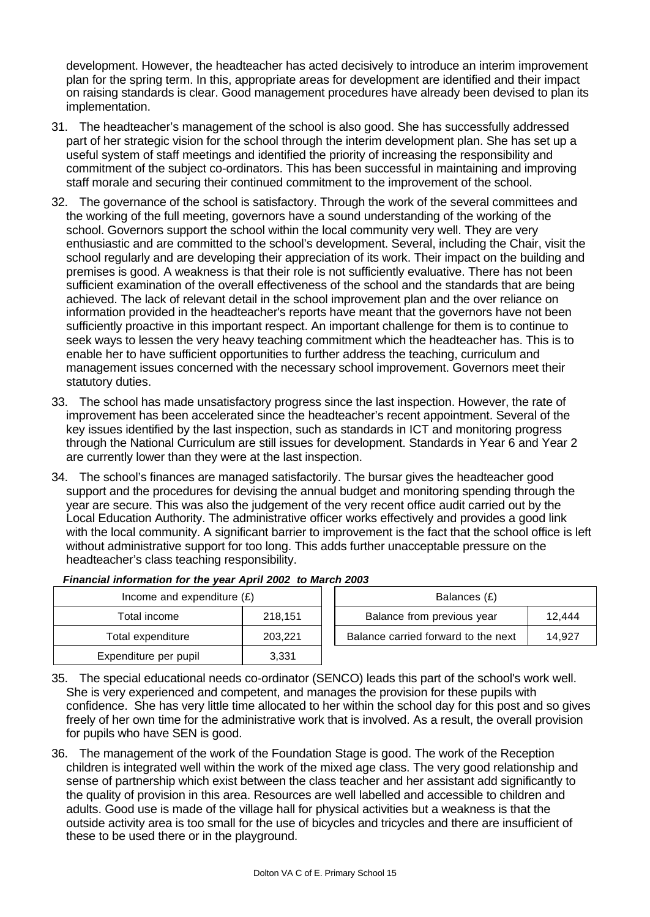development. However, the headteacher has acted decisively to introduce an interim improvement plan for the spring term. In this, appropriate areas for development are identified and their impact on raising standards is clear. Good management procedures have already been devised to plan its implementation.

- 31. The headteacher's management of the school is also good. She has successfully addressed part of her strategic vision for the school through the interim development plan. She has set up a useful system of staff meetings and identified the priority of increasing the responsibility and commitment of the subject co-ordinators. This has been successful in maintaining and improving staff morale and securing their continued commitment to the improvement of the school.
- 32. The governance of the school is satisfactory. Through the work of the several committees and the working of the full meeting, governors have a sound understanding of the working of the school. Governors support the school within the local community very well. They are very enthusiastic and are committed to the school's development. Several, including the Chair, visit the school regularly and are developing their appreciation of its work. Their impact on the building and premises is good. A weakness is that their role is not sufficiently evaluative. There has not been sufficient examination of the overall effectiveness of the school and the standards that are being achieved. The lack of relevant detail in the school improvement plan and the over reliance on information provided in the headteacher's reports have meant that the governors have not been sufficiently proactive in this important respect. An important challenge for them is to continue to seek ways to lessen the very heavy teaching commitment which the headteacher has. This is to enable her to have sufficient opportunities to further address the teaching, curriculum and management issues concerned with the necessary school improvement. Governors meet their statutory duties.
- 33. The school has made unsatisfactory progress since the last inspection. However, the rate of improvement has been accelerated since the headteacher's recent appointment. Several of the key issues identified by the last inspection, such as standards in ICT and monitoring progress through the National Curriculum are still issues for development. Standards in Year 6 and Year 2 are currently lower than they were at the last inspection.
- 34. The school's finances are managed satisfactorily. The bursar gives the headteacher good support and the procedures for devising the annual budget and monitoring spending through the year are secure. This was also the judgement of the very recent office audit carried out by the Local Education Authority. The administrative officer works effectively and provides a good link with the local community. A significant barrier to improvement is the fact that the school office is left without administrative support for too long. This adds further unacceptable pressure on the headteacher's class teaching responsibility.

| Income and expenditure $(E)$ |         | Balances (£)                        |        |
|------------------------------|---------|-------------------------------------|--------|
| Total income                 | 218.151 | Balance from previous year          | 12,444 |
| Total expenditure            | 203.221 | Balance carried forward to the next | 14.927 |
| Expenditure per pupil        | 3,331   |                                     |        |

|  | Financial information for the year April 2002 to March 2003 |  |  |
|--|-------------------------------------------------------------|--|--|
|--|-------------------------------------------------------------|--|--|

| Balances (£)                        |        |
|-------------------------------------|--------|
| Balance from previous year          | 12.444 |
| Balance carried forward to the next | 14.927 |
|                                     |        |

- 35. The special educational needs co-ordinator (SENCO) leads this part of the school's work well. She is very experienced and competent, and manages the provision for these pupils with confidence. She has very little time allocated to her within the school day for this post and so gives freely of her own time for the administrative work that is involved. As a result, the overall provision for pupils who have SEN is good.
- 36. The management of the work of the Foundation Stage is good. The work of the Reception children is integrated well within the work of the mixed age class. The very good relationship and sense of partnership which exist between the class teacher and her assistant add significantly to the quality of provision in this area. Resources are well labelled and accessible to children and adults. Good use is made of the village hall for physical activities but a weakness is that the outside activity area is too small for the use of bicycles and tricycles and there are insufficient of these to be used there or in the playground.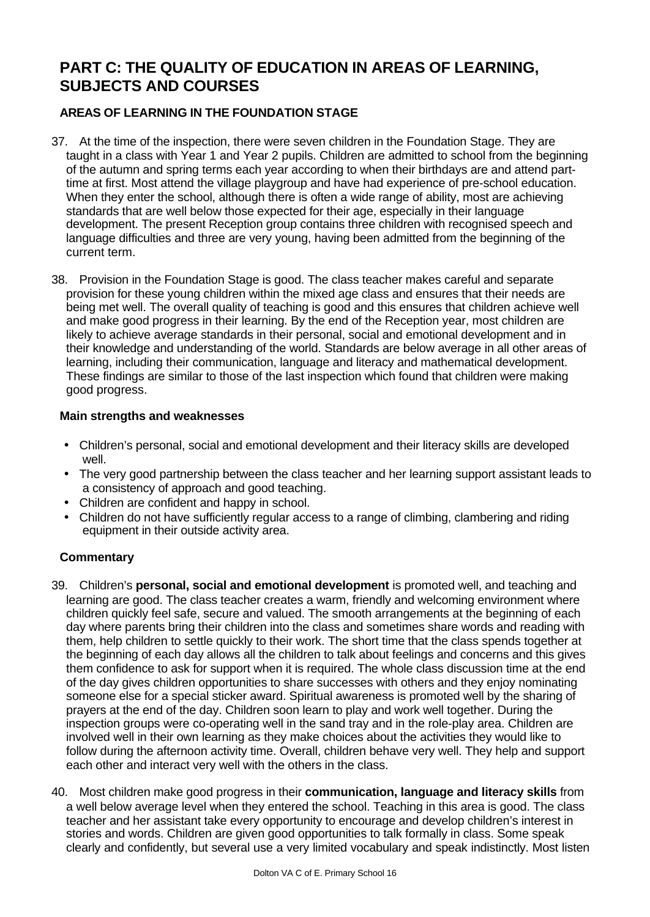# **PART C: THE QUALITY OF EDUCATION IN AREAS OF LEARNING, SUBJECTS AND COURSES**

# **AREAS OF LEARNING IN THE FOUNDATION STAGE**

- 37. At the time of the inspection, there were seven children in the Foundation Stage. They are taught in a class with Year 1 and Year 2 pupils. Children are admitted to school from the beginning of the autumn and spring terms each year according to when their birthdays are and attend parttime at first. Most attend the village playgroup and have had experience of pre-school education. When they enter the school, although there is often a wide range of ability, most are achieving standards that are well below those expected for their age, especially in their language development. The present Reception group contains three children with recognised speech and language difficulties and three are very young, having been admitted from the beginning of the current term.
- 38. Provision in the Foundation Stage is good. The class teacher makes careful and separate provision for these young children within the mixed age class and ensures that their needs are being met well. The overall quality of teaching is good and this ensures that children achieve well and make good progress in their learning. By the end of the Reception year, most children are likely to achieve average standards in their personal, social and emotional development and in their knowledge and understanding of the world. Standards are below average in all other areas of learning, including their communication, language and literacy and mathematical development. These findings are similar to those of the last inspection which found that children were making good progress.

### **Main strengths and weaknesses**

- Children's personal, social and emotional development and their literacy skills are developed well.
- The very good partnership between the class teacher and her learning support assistant leads to a consistency of approach and good teaching.
- Children are confident and happy in school.
- Children do not have sufficiently regular access to a range of climbing, clambering and riding equipment in their outside activity area.

- 39. Children's **personal, social and emotional development** is promoted well, and teaching and learning are good. The class teacher creates a warm, friendly and welcoming environment where children quickly feel safe, secure and valued. The smooth arrangements at the beginning of each day where parents bring their children into the class and sometimes share words and reading with them, help children to settle quickly to their work. The short time that the class spends together at the beginning of each day allows all the children to talk about feelings and concerns and this gives them confidence to ask for support when it is required. The whole class discussion time at the end of the day gives children opportunities to share successes with others and they enjoy nominating someone else for a special sticker award. Spiritual awareness is promoted well by the sharing of prayers at the end of the day. Children soon learn to play and work well together. During the inspection groups were co-operating well in the sand tray and in the role-play area. Children are involved well in their own learning as they make choices about the activities they would like to follow during the afternoon activity time. Overall, children behave very well. They help and support each other and interact very well with the others in the class.
- 40. Most children make good progress in their **communication, language and literacy skills** from a well below average level when they entered the school. Teaching in this area is good. The class teacher and her assistant take every opportunity to encourage and develop children's interest in stories and words. Children are given good opportunities to talk formally in class. Some speak clearly and confidently, but several use a very limited vocabulary and speak indistinctly. Most listen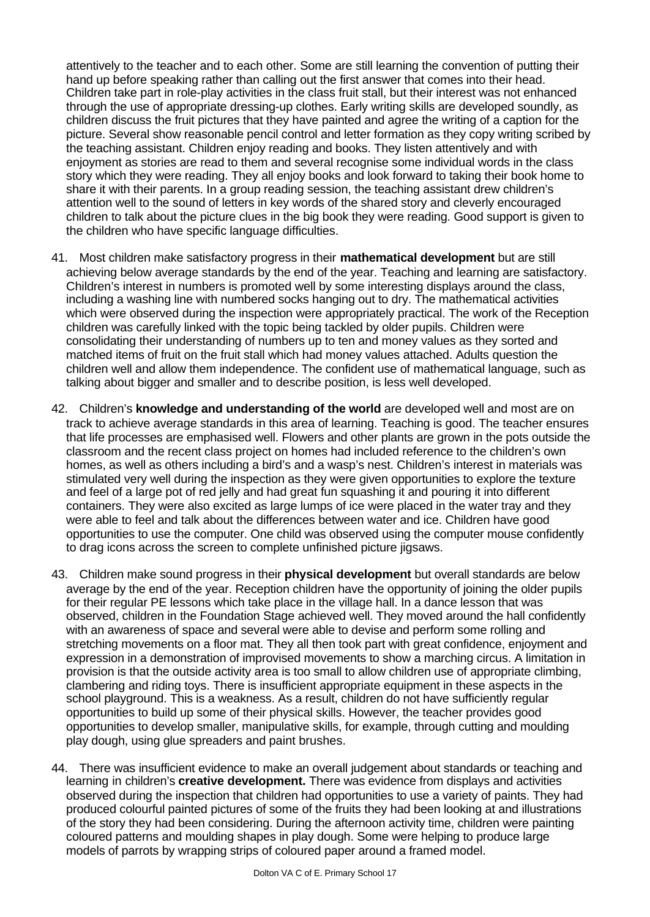attentively to the teacher and to each other. Some are still learning the convention of putting their hand up before speaking rather than calling out the first answer that comes into their head. Children take part in role-play activities in the class fruit stall, but their interest was not enhanced through the use of appropriate dressing-up clothes. Early writing skills are developed soundly, as children discuss the fruit pictures that they have painted and agree the writing of a caption for the picture. Several show reasonable pencil control and letter formation as they copy writing scribed by the teaching assistant. Children enjoy reading and books. They listen attentively and with enjoyment as stories are read to them and several recognise some individual words in the class story which they were reading. They all enjoy books and look forward to taking their book home to share it with their parents. In a group reading session, the teaching assistant drew children's attention well to the sound of letters in key words of the shared story and cleverly encouraged children to talk about the picture clues in the big book they were reading. Good support is given to the children who have specific language difficulties.

- 41. Most children make satisfactory progress in their **mathematical development** but are still achieving below average standards by the end of the year. Teaching and learning are satisfactory. Children's interest in numbers is promoted well by some interesting displays around the class, including a washing line with numbered socks hanging out to dry. The mathematical activities which were observed during the inspection were appropriately practical. The work of the Reception children was carefully linked with the topic being tackled by older pupils. Children were consolidating their understanding of numbers up to ten and money values as they sorted and matched items of fruit on the fruit stall which had money values attached. Adults question the children well and allow them independence. The confident use of mathematical language, such as talking about bigger and smaller and to describe position, is less well developed.
- 42. Children's **knowledge and understanding of the world** are developed well and most are on track to achieve average standards in this area of learning. Teaching is good. The teacher ensures that life processes are emphasised well. Flowers and other plants are grown in the pots outside the classroom and the recent class project on homes had included reference to the children's own homes, as well as others including a bird's and a wasp's nest. Children's interest in materials was stimulated very well during the inspection as they were given opportunities to explore the texture and feel of a large pot of red jelly and had great fun squashing it and pouring it into different containers. They were also excited as large lumps of ice were placed in the water tray and they were able to feel and talk about the differences between water and ice. Children have good opportunities to use the computer. One child was observed using the computer mouse confidently to drag icons across the screen to complete unfinished picture jigsaws.
- 43. Children make sound progress in their **physical development** but overall standards are below average by the end of the year. Reception children have the opportunity of joining the older pupils for their regular PE lessons which take place in the village hall. In a dance lesson that was observed, children in the Foundation Stage achieved well. They moved around the hall confidently with an awareness of space and several were able to devise and perform some rolling and stretching movements on a floor mat. They all then took part with great confidence, enjoyment and expression in a demonstration of improvised movements to show a marching circus. A limitation in provision is that the outside activity area is too small to allow children use of appropriate climbing, clambering and riding toys. There is insufficient appropriate equipment in these aspects in the school playground. This is a weakness. As a result, children do not have sufficiently regular opportunities to build up some of their physical skills. However, the teacher provides good opportunities to develop smaller, manipulative skills, for example, through cutting and moulding play dough, using glue spreaders and paint brushes.
- 44. There was insufficient evidence to make an overall judgement about standards or teaching and learning in children's **creative development.** There was evidence from displays and activities observed during the inspection that children had opportunities to use a variety of paints. They had produced colourful painted pictures of some of the fruits they had been looking at and illustrations of the story they had been considering. During the afternoon activity time, children were painting coloured patterns and moulding shapes in play dough. Some were helping to produce large models of parrots by wrapping strips of coloured paper around a framed model.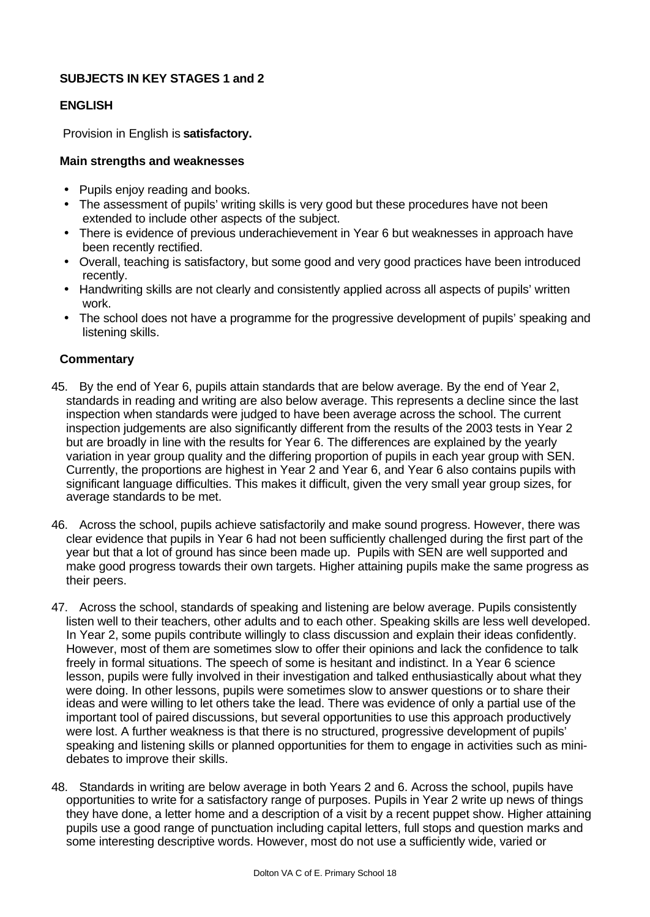# **SUBJECTS IN KEY STAGES 1 and 2**

# **ENGLISH**

Provision in English is **satisfactory.**

## **Main strengths and weaknesses**

- Pupils enjoy reading and books.
- The assessment of pupils' writing skills is very good but these procedures have not been extended to include other aspects of the subject.
- There is evidence of previous underachievement in Year 6 but weaknesses in approach have been recently rectified.
- Overall, teaching is satisfactory, but some good and very good practices have been introduced recently.
- Handwriting skills are not clearly and consistently applied across all aspects of pupils' written work.
- The school does not have a programme for the progressive development of pupils' speaking and listening skills.

- 45. By the end of Year 6, pupils attain standards that are below average. By the end of Year 2, standards in reading and writing are also below average. This represents a decline since the last inspection when standards were judged to have been average across the school. The current inspection judgements are also significantly different from the results of the 2003 tests in Year 2 but are broadly in line with the results for Year 6. The differences are explained by the yearly variation in year group quality and the differing proportion of pupils in each year group with SEN. Currently, the proportions are highest in Year 2 and Year 6, and Year 6 also contains pupils with significant language difficulties. This makes it difficult, given the very small year group sizes, for average standards to be met.
- 46. Across the school, pupils achieve satisfactorily and make sound progress. However, there was clear evidence that pupils in Year 6 had not been sufficiently challenged during the first part of the year but that a lot of ground has since been made up. Pupils with SEN are well supported and make good progress towards their own targets. Higher attaining pupils make the same progress as their peers.
- 47. Across the school, standards of speaking and listening are below average. Pupils consistently listen well to their teachers, other adults and to each other. Speaking skills are less well developed. In Year 2, some pupils contribute willingly to class discussion and explain their ideas confidently. However, most of them are sometimes slow to offer their opinions and lack the confidence to talk freely in formal situations. The speech of some is hesitant and indistinct. In a Year 6 science lesson, pupils were fully involved in their investigation and talked enthusiastically about what they were doing. In other lessons, pupils were sometimes slow to answer questions or to share their ideas and were willing to let others take the lead. There was evidence of only a partial use of the important tool of paired discussions, but several opportunities to use this approach productively were lost. A further weakness is that there is no structured, progressive development of pupils' speaking and listening skills or planned opportunities for them to engage in activities such as minidebates to improve their skills.
- 48. Standards in writing are below average in both Years 2 and 6. Across the school, pupils have opportunities to write for a satisfactory range of purposes. Pupils in Year 2 write up news of things they have done, a letter home and a description of a visit by a recent puppet show. Higher attaining pupils use a good range of punctuation including capital letters, full stops and question marks and some interesting descriptive words. However, most do not use a sufficiently wide, varied or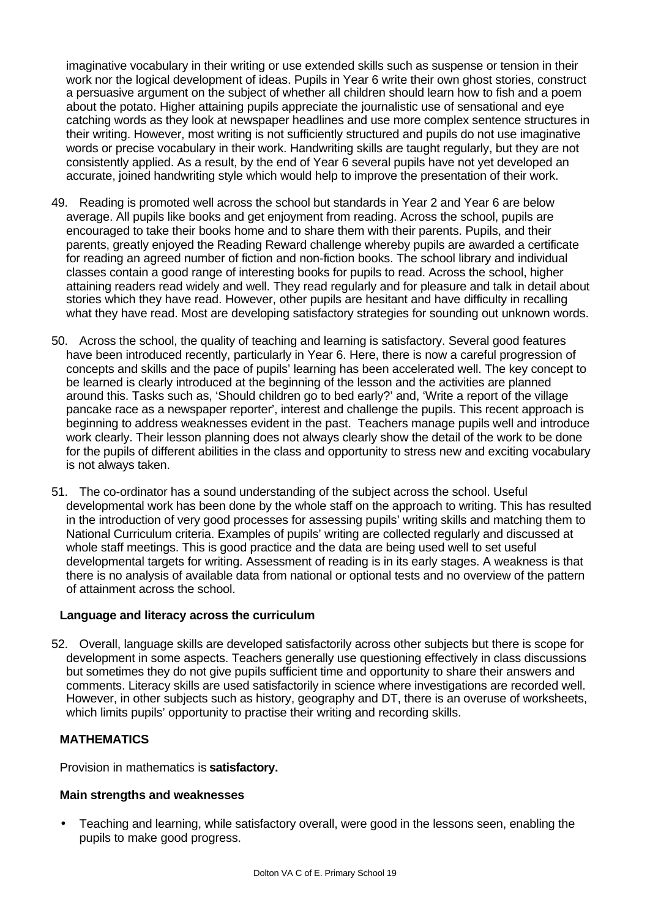imaginative vocabulary in their writing or use extended skills such as suspense or tension in their work nor the logical development of ideas. Pupils in Year 6 write their own ghost stories, construct a persuasive argument on the subject of whether all children should learn how to fish and a poem about the potato. Higher attaining pupils appreciate the journalistic use of sensational and eye catching words as they look at newspaper headlines and use more complex sentence structures in their writing. However, most writing is not sufficiently structured and pupils do not use imaginative words or precise vocabulary in their work. Handwriting skills are taught regularly, but they are not consistently applied. As a result, by the end of Year 6 several pupils have not yet developed an accurate, joined handwriting style which would help to improve the presentation of their work.

- 49. Reading is promoted well across the school but standards in Year 2 and Year 6 are below average. All pupils like books and get enjoyment from reading. Across the school, pupils are encouraged to take their books home and to share them with their parents. Pupils, and their parents, greatly enjoyed the Reading Reward challenge whereby pupils are awarded a certificate for reading an agreed number of fiction and non-fiction books. The school library and individual classes contain a good range of interesting books for pupils to read. Across the school, higher attaining readers read widely and well. They read regularly and for pleasure and talk in detail about stories which they have read. However, other pupils are hesitant and have difficulty in recalling what they have read. Most are developing satisfactory strategies for sounding out unknown words.
- 50. Across the school, the quality of teaching and learning is satisfactory. Several good features have been introduced recently, particularly in Year 6. Here, there is now a careful progression of concepts and skills and the pace of pupils' learning has been accelerated well. The key concept to be learned is clearly introduced at the beginning of the lesson and the activities are planned around this. Tasks such as, 'Should children go to bed early?' and, 'Write a report of the village pancake race as a newspaper reporter', interest and challenge the pupils. This recent approach is beginning to address weaknesses evident in the past. Teachers manage pupils well and introduce work clearly. Their lesson planning does not always clearly show the detail of the work to be done for the pupils of different abilities in the class and opportunity to stress new and exciting vocabulary is not always taken.
- 51. The co-ordinator has a sound understanding of the subject across the school. Useful developmental work has been done by the whole staff on the approach to writing. This has resulted in the introduction of very good processes for assessing pupils' writing skills and matching them to National Curriculum criteria. Examples of pupils' writing are collected regularly and discussed at whole staff meetings. This is good practice and the data are being used well to set useful developmental targets for writing. Assessment of reading is in its early stages. A weakness is that there is no analysis of available data from national or optional tests and no overview of the pattern of attainment across the school.

#### **Language and literacy across the curriculum**

52. Overall, language skills are developed satisfactorily across other subjects but there is scope for development in some aspects. Teachers generally use questioning effectively in class discussions but sometimes they do not give pupils sufficient time and opportunity to share their answers and comments. Literacy skills are used satisfactorily in science where investigations are recorded well. However, in other subjects such as history, geography and DT, there is an overuse of worksheets, which limits pupils' opportunity to practise their writing and recording skills.

#### **MATHEMATICS**

Provision in mathematics is **satisfactory.**

#### **Main strengths and weaknesses**

• Teaching and learning, while satisfactory overall, were good in the lessons seen, enabling the pupils to make good progress.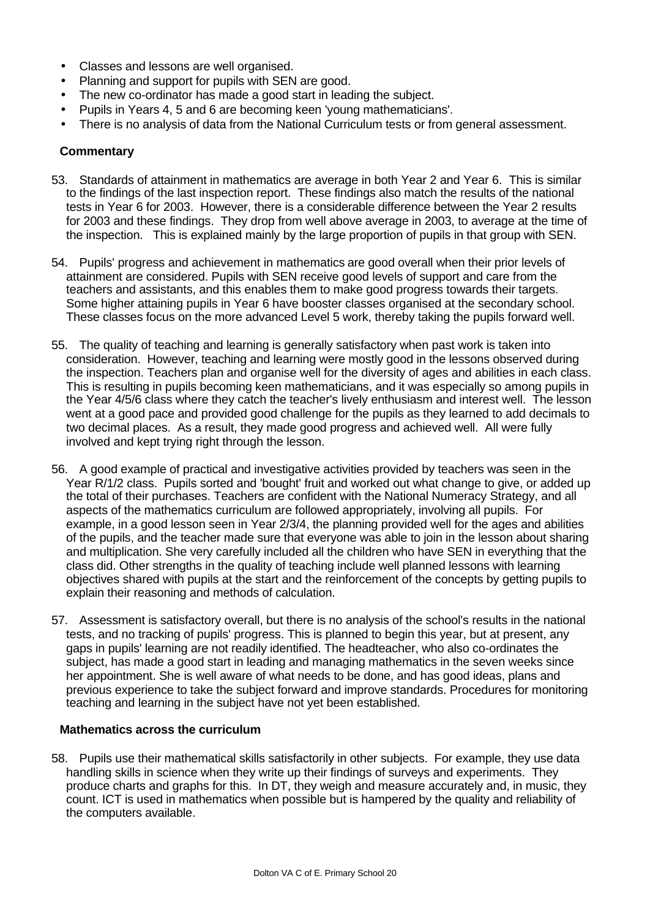- Classes and lessons are well organised.
- Planning and support for pupils with SEN are good.
- The new co-ordinator has made a good start in leading the subject.
- Pupils in Years 4, 5 and 6 are becoming keen 'young mathematicians'.
- There is no analysis of data from the National Curriculum tests or from general assessment.

#### **Commentary**

- 53. Standards of attainment in mathematics are average in both Year 2 and Year 6. This is similar to the findings of the last inspection report. These findings also match the results of the national tests in Year 6 for 2003. However, there is a considerable difference between the Year 2 results for 2003 and these findings. They drop from well above average in 2003, to average at the time of the inspection. This is explained mainly by the large proportion of pupils in that group with SEN.
- 54. Pupils' progress and achievement in mathematics are good overall when their prior levels of attainment are considered. Pupils with SEN receive good levels of support and care from the teachers and assistants, and this enables them to make good progress towards their targets. Some higher attaining pupils in Year 6 have booster classes organised at the secondary school. These classes focus on the more advanced Level 5 work, thereby taking the pupils forward well.
- 55. The quality of teaching and learning is generally satisfactory when past work is taken into consideration. However, teaching and learning were mostly good in the lessons observed during the inspection. Teachers plan and organise well for the diversity of ages and abilities in each class. This is resulting in pupils becoming keen mathematicians, and it was especially so among pupils in the Year 4/5/6 class where they catch the teacher's lively enthusiasm and interest well. The lesson went at a good pace and provided good challenge for the pupils as they learned to add decimals to two decimal places. As a result, they made good progress and achieved well. All were fully involved and kept trying right through the lesson.
- 56. A good example of practical and investigative activities provided by teachers was seen in the Year R/1/2 class. Pupils sorted and 'bought' fruit and worked out what change to give, or added up the total of their purchases. Teachers are confident with the National Numeracy Strategy, and all aspects of the mathematics curriculum are followed appropriately, involving all pupils. For example, in a good lesson seen in Year 2/3/4, the planning provided well for the ages and abilities of the pupils, and the teacher made sure that everyone was able to join in the lesson about sharing and multiplication. She very carefully included all the children who have SEN in everything that the class did. Other strengths in the quality of teaching include well planned lessons with learning objectives shared with pupils at the start and the reinforcement of the concepts by getting pupils to explain their reasoning and methods of calculation.
- 57. Assessment is satisfactory overall, but there is no analysis of the school's results in the national tests, and no tracking of pupils' progress. This is planned to begin this year, but at present, any gaps in pupils' learning are not readily identified. The headteacher, who also co-ordinates the subject, has made a good start in leading and managing mathematics in the seven weeks since her appointment. She is well aware of what needs to be done, and has good ideas, plans and previous experience to take the subject forward and improve standards. Procedures for monitoring teaching and learning in the subject have not yet been established.

#### **Mathematics across the curriculum**

58. Pupils use their mathematical skills satisfactorily in other subjects. For example, they use data handling skills in science when they write up their findings of surveys and experiments. They produce charts and graphs for this. In DT, they weigh and measure accurately and, in music, they count. ICT is used in mathematics when possible but is hampered by the quality and reliability of the computers available.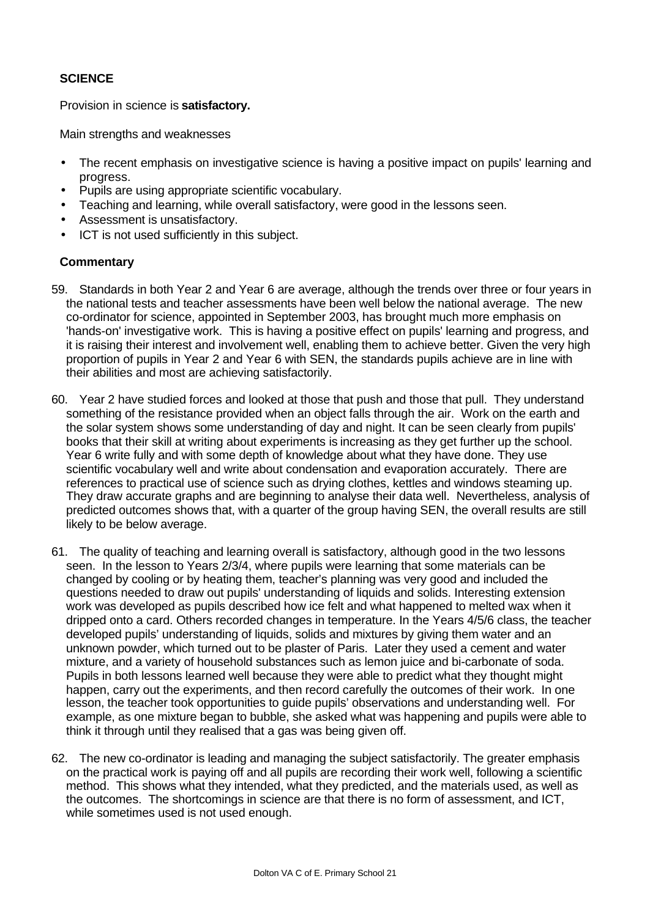# **SCIENCE**

Provision in science is **satisfactory.**

Main strengths and weaknesses

- The recent emphasis on investigative science is having a positive impact on pupils' learning and progress.
- Pupils are using appropriate scientific vocabulary.
- Teaching and learning, while overall satisfactory, were good in the lessons seen.
- Assessment is unsatisfactory.
- ICT is not used sufficiently in this subject.

- 59. Standards in both Year 2 and Year 6 are average, although the trends over three or four years in the national tests and teacher assessments have been well below the national average. The new co-ordinator for science, appointed in September 2003, has brought much more emphasis on 'hands-on' investigative work. This is having a positive effect on pupils' learning and progress, and it is raising their interest and involvement well, enabling them to achieve better. Given the very high proportion of pupils in Year 2 and Year 6 with SEN, the standards pupils achieve are in line with their abilities and most are achieving satisfactorily.
- 60. Year 2 have studied forces and looked at those that push and those that pull. They understand something of the resistance provided when an object falls through the air. Work on the earth and the solar system shows some understanding of day and night. It can be seen clearly from pupils' books that their skill at writing about experiments is increasing as they get further up the school. Year 6 write fully and with some depth of knowledge about what they have done. They use scientific vocabulary well and write about condensation and evaporation accurately. There are references to practical use of science such as drying clothes, kettles and windows steaming up. They draw accurate graphs and are beginning to analyse their data well. Nevertheless, analysis of predicted outcomes shows that, with a quarter of the group having SEN, the overall results are still likely to be below average.
- 61. The quality of teaching and learning overall is satisfactory, although good in the two lessons seen. In the lesson to Years 2/3/4, where pupils were learning that some materials can be changed by cooling or by heating them, teacher's planning was very good and included the questions needed to draw out pupils' understanding of liquids and solids. Interesting extension work was developed as pupils described how ice felt and what happened to melted wax when it dripped onto a card. Others recorded changes in temperature. In the Years 4/5/6 class, the teacher developed pupils' understanding of liquids, solids and mixtures by giving them water and an unknown powder, which turned out to be plaster of Paris. Later they used a cement and water mixture, and a variety of household substances such as lemon juice and bi-carbonate of soda. Pupils in both lessons learned well because they were able to predict what they thought might happen, carry out the experiments, and then record carefully the outcomes of their work. In one lesson, the teacher took opportunities to guide pupils' observations and understanding well. For example, as one mixture began to bubble, she asked what was happening and pupils were able to think it through until they realised that a gas was being given off.
- 62. The new co-ordinator is leading and managing the subject satisfactorily. The greater emphasis on the practical work is paying off and all pupils are recording their work well, following a scientific method. This shows what they intended, what they predicted, and the materials used, as well as the outcomes. The shortcomings in science are that there is no form of assessment, and ICT, while sometimes used is not used enough.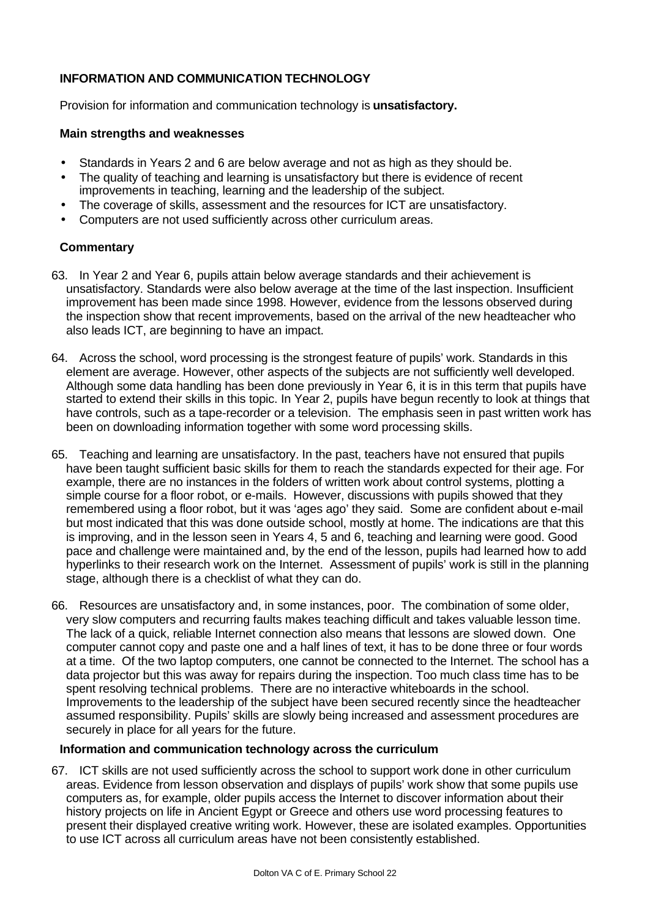# **INFORMATION AND COMMUNICATION TECHNOLOGY**

Provision for information and communication technology is **unsatisfactory.**

### **Main strengths and weaknesses**

- Standards in Years 2 and 6 are below average and not as high as they should be.
- The quality of teaching and learning is unsatisfactory but there is evidence of recent improvements in teaching, learning and the leadership of the subject.
- The coverage of skills, assessment and the resources for ICT are unsatisfactory.
- Computers are not used sufficiently across other curriculum areas.

# **Commentary**

- 63. In Year 2 and Year 6, pupils attain below average standards and their achievement is unsatisfactory. Standards were also below average at the time of the last inspection. Insufficient improvement has been made since 1998. However, evidence from the lessons observed during the inspection show that recent improvements, based on the arrival of the new headteacher who also leads ICT, are beginning to have an impact.
- 64. Across the school, word processing is the strongest feature of pupils' work. Standards in this element are average. However, other aspects of the subjects are not sufficiently well developed. Although some data handling has been done previously in Year 6, it is in this term that pupils have started to extend their skills in this topic. In Year 2, pupils have begun recently to look at things that have controls, such as a tape-recorder or a television. The emphasis seen in past written work has been on downloading information together with some word processing skills.
- 65. Teaching and learning are unsatisfactory. In the past, teachers have not ensured that pupils have been taught sufficient basic skills for them to reach the standards expected for their age. For example, there are no instances in the folders of written work about control systems, plotting a simple course for a floor robot, or e-mails. However, discussions with pupils showed that they remembered using a floor robot, but it was 'ages ago' they said. Some are confident about e-mail but most indicated that this was done outside school, mostly at home. The indications are that this is improving, and in the lesson seen in Years 4, 5 and 6, teaching and learning were good. Good pace and challenge were maintained and, by the end of the lesson, pupils had learned how to add hyperlinks to their research work on the Internet. Assessment of pupils' work is still in the planning stage, although there is a checklist of what they can do.
- 66. Resources are unsatisfactory and, in some instances, poor. The combination of some older, very slow computers and recurring faults makes teaching difficult and takes valuable lesson time. The lack of a quick, reliable Internet connection also means that lessons are slowed down. One computer cannot copy and paste one and a half lines of text, it has to be done three or four words at a time. Of the two laptop computers, one cannot be connected to the Internet. The school has a data projector but this was away for repairs during the inspection. Too much class time has to be spent resolving technical problems. There are no interactive whiteboards in the school. Improvements to the leadership of the subject have been secured recently since the headteacher assumed responsibility. Pupils' skills are slowly being increased and assessment procedures are securely in place for all years for the future.

# **Information and communication technology across the curriculum**

67. ICT skills are not used sufficiently across the school to support work done in other curriculum areas. Evidence from lesson observation and displays of pupils' work show that some pupils use computers as, for example, older pupils access the Internet to discover information about their history projects on life in Ancient Egypt or Greece and others use word processing features to present their displayed creative writing work. However, these are isolated examples. Opportunities to use ICT across all curriculum areas have not been consistently established.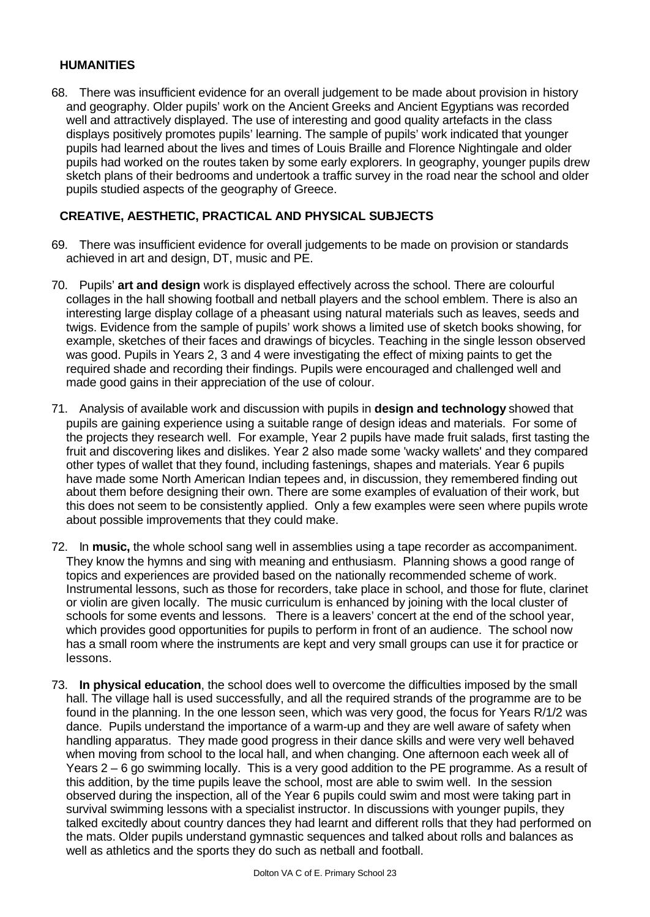#### **HUMANITIES**

68. There was insufficient evidence for an overall judgement to be made about provision in history and geography. Older pupils' work on the Ancient Greeks and Ancient Egyptians was recorded well and attractively displayed. The use of interesting and good quality artefacts in the class displays positively promotes pupils' learning. The sample of pupils' work indicated that younger pupils had learned about the lives and times of Louis Braille and Florence Nightingale and older pupils had worked on the routes taken by some early explorers. In geography, younger pupils drew sketch plans of their bedrooms and undertook a traffic survey in the road near the school and older pupils studied aspects of the geography of Greece.

## **CREATIVE, AESTHETIC, PRACTICAL AND PHYSICAL SUBJECTS**

- 69. There was insufficient evidence for overall judgements to be made on provision or standards achieved in art and design, DT, music and PE.
- 70. Pupils' **art and design** work is displayed effectively across the school. There are colourful collages in the hall showing football and netball players and the school emblem. There is also an interesting large display collage of a pheasant using natural materials such as leaves, seeds and twigs. Evidence from the sample of pupils' work shows a limited use of sketch books showing, for example, sketches of their faces and drawings of bicycles. Teaching in the single lesson observed was good. Pupils in Years 2, 3 and 4 were investigating the effect of mixing paints to get the required shade and recording their findings. Pupils were encouraged and challenged well and made good gains in their appreciation of the use of colour.
- 71. Analysis of available work and discussion with pupils in **design and technology** showed that pupils are gaining experience using a suitable range of design ideas and materials. For some of the projects they research well. For example, Year 2 pupils have made fruit salads, first tasting the fruit and discovering likes and dislikes. Year 2 also made some 'wacky wallets' and they compared other types of wallet that they found, including fastenings, shapes and materials. Year 6 pupils have made some North American Indian tepees and, in discussion, they remembered finding out about them before designing their own. There are some examples of evaluation of their work, but this does not seem to be consistently applied. Only a few examples were seen where pupils wrote about possible improvements that they could make.
- 72. In **music,** the whole school sang well in assemblies using a tape recorder as accompaniment. They know the hymns and sing with meaning and enthusiasm. Planning shows a good range of topics and experiences are provided based on the nationally recommended scheme of work. Instrumental lessons, such as those for recorders, take place in school, and those for flute, clarinet or violin are given locally. The music curriculum is enhanced by joining with the local cluster of schools for some events and lessons. There is a leavers' concert at the end of the school year, which provides good opportunities for pupils to perform in front of an audience. The school now has a small room where the instruments are kept and very small groups can use it for practice or lessons.
- 73. **In physical education**, the school does well to overcome the difficulties imposed by the small hall. The village hall is used successfully, and all the required strands of the programme are to be found in the planning. In the one lesson seen, which was very good, the focus for Years R/1/2 was dance. Pupils understand the importance of a warm-up and they are well aware of safety when handling apparatus. They made good progress in their dance skills and were very well behaved when moving from school to the local hall, and when changing. One afternoon each week all of Years 2 – 6 go swimming locally. This is a very good addition to the PE programme. As a result of this addition, by the time pupils leave the school, most are able to swim well. In the session observed during the inspection, all of the Year 6 pupils could swim and most were taking part in survival swimming lessons with a specialist instructor. In discussions with younger pupils, they talked excitedly about country dances they had learnt and different rolls that they had performed on the mats. Older pupils understand gymnastic sequences and talked about rolls and balances as well as athletics and the sports they do such as netball and football.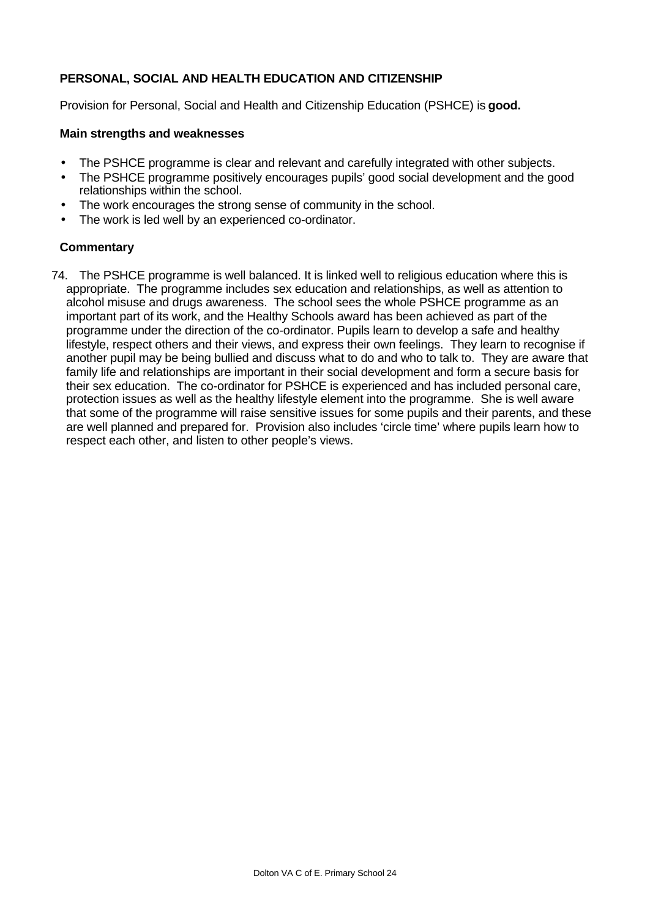# **PERSONAL, SOCIAL AND HEALTH EDUCATION AND CITIZENSHIP**

Provision for Personal, Social and Health and Citizenship Education (PSHCE) is **good.**

#### **Main strengths and weaknesses**

- The PSHCE programme is clear and relevant and carefully integrated with other subjects.
- The PSHCE programme positively encourages pupils' good social development and the good relationships within the school.
- The work encourages the strong sense of community in the school.
- The work is led well by an experienced co-ordinator.

### **Commentary**

74. The PSHCE programme is well balanced. It is linked well to religious education where this is appropriate. The programme includes sex education and relationships, as well as attention to alcohol misuse and drugs awareness. The school sees the whole PSHCE programme as an important part of its work, and the Healthy Schools award has been achieved as part of the programme under the direction of the co-ordinator. Pupils learn to develop a safe and healthy lifestyle, respect others and their views, and express their own feelings. They learn to recognise if another pupil may be being bullied and discuss what to do and who to talk to. They are aware that family life and relationships are important in their social development and form a secure basis for their sex education. The co-ordinator for PSHCE is experienced and has included personal care, protection issues as well as the healthy lifestyle element into the programme. She is well aware that some of the programme will raise sensitive issues for some pupils and their parents, and these are well planned and prepared for. Provision also includes 'circle time' where pupils learn how to respect each other, and listen to other people's views.